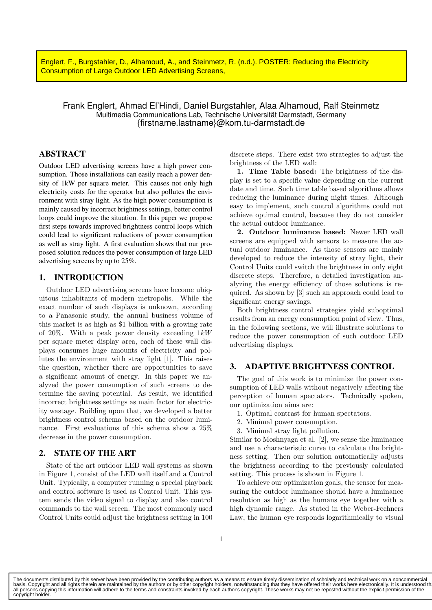**Englert, F., Burgstahler, D., Alhamoud, A., and Steinmetz, R. (n.d.). POSTER: Reducing the Electricity Outdoor LED Advertising Screens** Consumption of Large Outdoor LED Advertising Screens,

# Frank Englert, Ahmad El'Hindi, Daniel Burgstahler, Alaa Alhamoud, Ralf Steinmetz Multimedia Communications Lab, Technische Universität Darmstadt, Germany {firstname.lastname}@kom.tu-darmstadt.de

## ABSTRACT

Outdoor LED advertising screens have a high power consumption. Those installations can easily reach a power density of 1kW per square meter. This causes not only high electricity costs for the operator but also pollutes the environment with stray light. As the high power consumption is mainly caused by incorrect brightness settings, better control loops could improve the situation. In this paper we propose first steps towards improved brightness control loops which could lead to significant reductions of power consumption as well as stray light. A first evaluation shows that our proposed solution reduces the power consumption of large LED advertising screens by up to 25%.

## 1. INTRODUCTION

Outdoor LED advertising screens have become ubiquitous inhabitants of modern metropolis. While the exact number of such displays is unknown, according to a Panasonic study, the annual business volume of this market is as high as \$1 billion with a growing rate of 20%. With a peak power density exceeding  $1kW$ per square meter display area, each of these wall displays consumes huge amounts of electricity and pollutes the environment with stray light [1]. This raises the question, whether there are opportunities to save a significant amount of energy. In this paper we analyzed the power consumption of such screens to determine the saving potential. As result, we identified incorrect brightness settings as main factor for electricity wastage. Building upon that, we developed a better brightness control schema based on the outdoor luminance. First evaluations of this schema show a 25% decrease in the power consumption.

### 2. STATE OF THE ART

State of the art outdoor LED wall systems as shown in Figure 1, consist of the LED wall itself and a Control Unit. Typically, a computer running a special playback and control software is used as Control Unit. This system sends the video signal to display and also control commands to the wall screen. The most commonly used Control Units could adjust the brightness setting in 100 discrete steps. There exist two strategies to adjust the brightness of the LED wall:

1. Time Table based: The brightness of the display is set to a specific value depending on the current date and time. Such time table based algorithms allows reducing the luminance during night times. Although easy to implement, such control algorithms could not achieve optimal control, because they do not consider the actual outdoor luminance.

2. Outdoor luminance based: Newer LED wall screens are equipped with sensors to measure the actual outdoor luminance. As those sensors are mainly developed to reduce the intensity of stray light, their Control Units could switch the brightness in only eight discrete steps. Therefore, a detailed investigation analyzing the energy efficiency of those solutions is required. As shown by [3] such an approach could lead to significant energy savings.

Both brightness control strategies yield suboptimal results from an energy consumption point of view. Thus, in the following sections, we will illustrate solutions to reduce the power consumption of such outdoor LED advertising displays.

## 3. ADAPTIVE BRIGHTNESS CONTROL

The goal of this work is to minimize the power consumption of LED walls without negatively affecting the perception of human spectators. Technically spoken, our optimization aims are:

- 1. Optimal contrast for human spectators.
- 2. Minimal power consumption.
- 3. Minimal stray light pollution.

Similar to Moshnyaga et al. [2], we sense the luminance and use a characteristic curve to calculate the brightness setting. Then our solution automatically adjusts the brightness according to the previously calculated setting. This process is shown in Figure 1.

To achieve our optimization goals, the sensor for measuring the outdoor luminance should have a luminance resolution as high as the humans eye together with a high dynamic range. As stated in the Weber-Fechners Law, the human eye responds logarithmically to visual

The documents distributed by this server have been provided by the contributing authors as a means to ensure timely dissemination of scholarly and technical work on a noncommercial<br>basis. Copyright and all rights therein a all persons copying this information will adhere to the terms and constraints invoked by each author's copyright. These works may not be reposted without the explicit permission of the copyright holder.